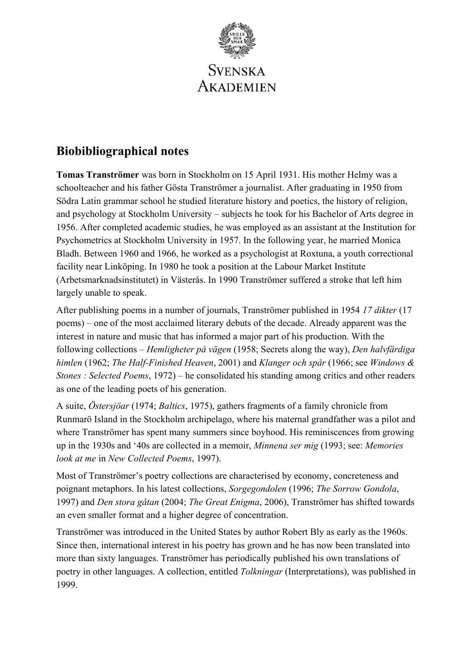

# **Biobibliographical notes**

**Tomas Tranströmer** was born in Stockholm on 15 April 1931. His mother Helmy was a schoolteacher and his father Gösta Tranströmer a journalist. After graduating in 1950 from Södra Latin grammar school he studied literature history and poetics, the history of religion, and psychology at Stockholm University – subjects he took for his Bachelor of Arts degree in 1956. After completed academic studies, he was employed as an assistant at the Institution for Psychometrics at Stockholm University in 1957. In the following year, he married Monica Bladh. Between 1960 and 1966, he worked as a psychologist at Roxtuna, a youth correctional facility near Linköping. In 1980 he took a position at the Labour Market Institute (Arbetsmarknadsinstitutet) in Västerås. In 1990 Tranströmer suffered a stroke that left him largely unable to speak.

After publishing poems in a number of journals, Tranströmer published in 1954 *17 dikter* (17 poems) – one of the most acclaimed literary debuts of the decade. Already apparent was the interest in nature and music that has informed a major part of his production. With the following collections – *Hemligheter på vägen* (1958; Secrets along the way), *Den halvfärdiga himlen* (1962; *The Half-Finished Heaven*, 2001) and *Klanger och spår* (1966; see *Windows & Stones : Selected Poems*, 1972) – he consolidated his standing among critics and other readers as one of the leading poets of his generation.

A suite, *Östersjöar* (1974; *Baltics*, 1975), gathers fragments of a family chronicle from Runmarö Island in the Stockholm archipelago, where his maternal grandfather was a pilot and where Tranströmer has spent many summers since boyhood. His reminiscences from growing up in the 1930s and '40s are collected in a memoir, *Minnena ser mig* (1993; see: *Memories look at me* in *New Collected Poems*, 1997).

Most of Tranströmer's poetry collections are characterised by economy, concreteness and poignant metaphors. In his latest collections, *Sorgegondolen* (1996; *The Sorrow Gondola*, 1997) and *Den stora gåtan* (2004; *The Great Enigma*, 2006), Tranströmer has shifted towards an even smaller format and a higher degree of concentration.

Tranströmer was introduced in the United States by author Robert Bly as early as the 1960s. Since then, international interest in his poetry has grown and he has now been translated into more than sixty languages. Tranströmer has periodically published his own translations of poetry in other languages. A collection, entitled *Tolkningar* (Interpretations), was published in 1999.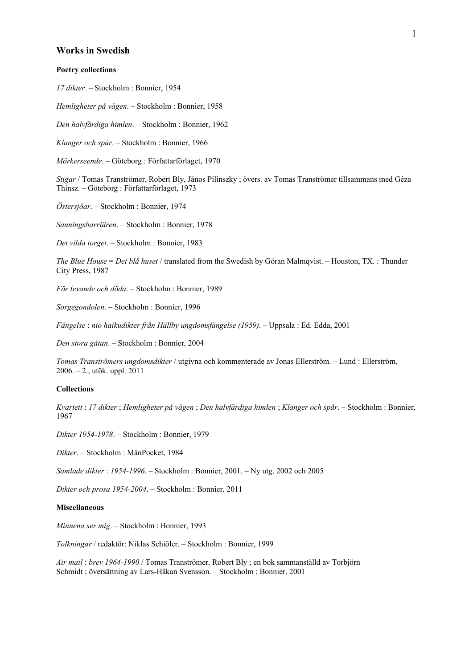## **Works in Swedish**

#### **Poetry collections**

*17 dikter*. – Stockholm : Bonnier, 1954

*Hemligheter på vägen*. – Stockholm : Bonnier, 1958

*Den halvfärdiga himlen*. – Stockholm : Bonnier, 1962

*Klanger och spår*. – Stockholm : Bonnier, 1966

*Mörkerseende*. – Göteborg : Författarförlaget, 1970

*Stigar* / Tomas Tranströmer, Robert Bly, János Pilinszky ; övers. av Tomas Tranströmer tillsammans med Géza Thinsz. – Göteborg : Författarförlaget, 1973

*Östersjöar*. – Stockholm : Bonnier, 1974

*Sanningsbarriären*. – Stockholm : Bonnier, 1978

*Det vilda torget*. – Stockholm : Bonnier, 1983

*The Blue House* = *Det blå huset* / translated from the Swedish by Göran Malmqvist. – Houston, TX. : Thunder City Press, 1987

*För levande och döda*. – Stockholm : Bonnier, 1989

*Sorgegondolen*. – Stockholm : Bonnier, 1996

*Fängelse* : *nio haikudikter från Hällby ungdomsfängelse (1959)*. – Uppsala : Ed. Edda, 2001

*Den stora gåtan*. – Stockholm : Bonnier, 2004

*Tomas Tranströmers ungdomsdikter* / utgivna och kommenterade av Jonas Ellerström. – Lund : Ellerström, 2006. – 2., utök. uppl. 2011

#### **Collections**

*Kvartett* : *17 dikter* ; *Hemligheter på vägen* ; *Den halvfärdiga himlen* ; *Klanger och spår*. – Stockholm : Bonnier, 1967

*Dikter 1954-1978*. – Stockholm : Bonnier, 1979

*Dikter*. – Stockholm : MånPocket, 1984

*Samlade dikter* : *1954-1996*. – Stockholm : Bonnier, 2001. – Ny utg. 2002 och 2005

*Dikter och prosa 1954-2004*. – Stockholm : Bonnier, 2011

### **Miscellaneous**

*Minnena ser mig*. – Stockholm : Bonnier, 1993

*Tolkningar* / redaktör: Niklas Schiöler. – Stockholm : Bonnier, 1999

*Air mail* : *brev 1964-1990* / Tomas Tranströmer, Robert Bly ; en bok sammanställd av Torbjörn Schmidt ; översättning av Lars-Håkan Svensson. – Stockholm : Bonnier, 2001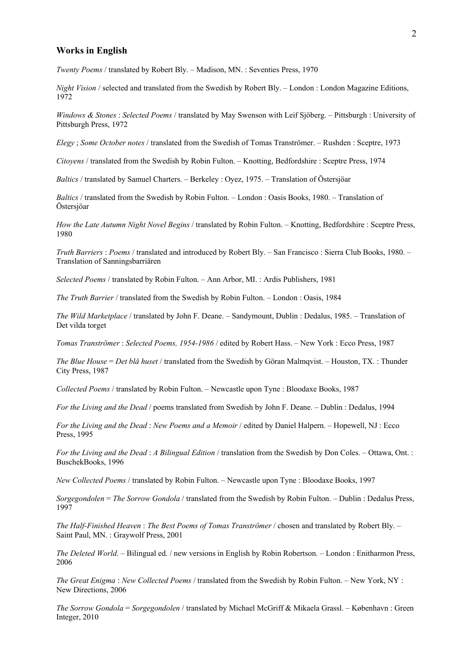### **Works in English**

*Twenty Poems* / translated by Robert Bly. – Madison, MN. : Seventies Press, 1970

*Night Vision* / selected and translated from the Swedish by Robert Bly. – London : London Magazine Editions, 1972

*Windows & Stones* : *Selected Poems* / translated by May Swenson with Leif Sjöberg. – Pittsburgh : University of Pittsburgh Press, 1972

*Elegy* ; *Some October notes* / translated from the Swedish of Tomas Tranströmer. – Rushden : Sceptre, 1973

*Citoyens* / translated from the Swedish by Robin Fulton. – Knotting, Bedfordshire : Sceptre Press, 1974

*Baltics* / translated by Samuel Charters. – Berkeley : Oyez, 1975. – Translation of Östersjöar

*Baltics* / translated from the Swedish by Robin Fulton. – London : Oasis Books, 1980. – Translation of Östersjöar

*How the Late Autumn Night Novel Begins* / translated by Robin Fulton. – Knotting, Bedfordshire : Sceptre Press, 1980

*Truth Barriers* : *Poems* / translated and introduced by Robert Bly. – San Francisco : Sierra Club Books, 1980. – Translation of Sanningsbarriären

*Selected Poems* / translated by Robin Fulton. – Ann Arbor, MI. : Ardis Publishers, 1981

*The Truth Barrier* / translated from the Swedish by Robin Fulton. – London : Oasis, 1984

*The Wild Marketplace* / translated by John F. Deane. – Sandymount, Dublin : Dedalus, 1985. – Translation of Det vilda torget

*Tomas Tranströmer* : *Selected Poems, 1954-1986* / edited by Robert Hass. – New York : Ecco Press, 1987

*The Blue House* = *Det blå huset* / translated from the Swedish by Göran Malmqvist. – Houston, TX. : Thunder City Press, 1987

*Collected Poems* / translated by Robin Fulton. – Newcastle upon Tyne : Bloodaxe Books, 1987

*For the Living and the Dead* / poems translated from Swedish by John F. Deane. – Dublin : Dedalus, 1994

*For the Living and the Dead* : *New Poems and a Memoir* / edited by Daniel Halpern. – Hopewell, NJ : Ecco Press, 1995

*For the Living and the Dead* : *A Bilingual Edition* / translation from the Swedish by Don Coles. – Ottawa, Ont. : BuschekBooks, 1996

*New Collected Poems* / translated by Robin Fulton. – Newcastle upon Tyne : Bloodaxe Books, 1997

*Sorgegondolen* = *The Sorrow Gondola* / translated from the Swedish by Robin Fulton. – Dublin : Dedalus Press, 1997

*The Half-Finished Heaven* : *The Best Poems of Tomas Tranströmer* / chosen and translated by Robert Bly. – Saint Paul, MN. : Graywolf Press, 2001

*The Deleted World*. – Bilingual ed. / new versions in English by Robin Robertson. – London : Enitharmon Press, 2006

*The Great Enigma* : *New Collected Poems* / translated from the Swedish by Robin Fulton. – New York, NY : New Directions, 2006

*The Sorrow Gondola* = *Sorgegondolen* / translated by Michael McGriff & Mikaela Grassl. – København : Green Integer, 2010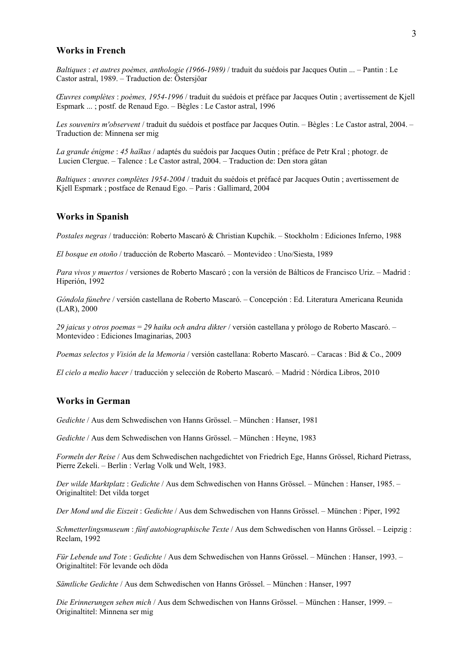## **Works in French**

*Baltiques* : *et autres poèmes, anthologie (1966-1989)* / traduit du suédois par Jacques Outin ... – Pantin : Le Castor astral, 1989. – Traduction de: Östersjöar

*Œuvres complètes* : *poèmes, 1954-1996* / traduit du suédois et préface par Jacques Outin ; avertissement de Kjell Espmark ... ; postf. de Renaud Ego. – Bègles : Le Castor astral, 1996

*Les souvenirs m'observent* / traduit du suédois et postface par Jacques Outin. – Bègles : Le Castor astral, 2004. – Traduction de: Minnena ser mig

*La grande énigme* : *45 haïkus* / adaptés du suédois par Jacques Outin ; préface de Petr Kral ; photogr. de Lucien Clergue. – Talence : Le Castor astral, 2004. – Traduction de: Den stora gåtan

*Baltiques* : *œuvres complètes 1954-2004* / traduit du suédois et préfacé par Jacques Outin ; avertissement de Kjell Espmark ; postface de Renaud Ego. – Paris : Gallimard, 2004

## **Works in Spanish**

*Postales negras* / traducción: Roberto Mascaró & Christian Kupchik. – Stockholm : Ediciones Inferno, 1988

*El bosque en otoño* / traducción de Roberto Mascaró. – Montevideo : Uno/Siesta, 1989

*Para vivos y muertos* / versiones de Roberto Mascaró ; con la versión de Bálticos de Francisco Uriz. – Madrid : Hiperión, 1992

*Góndola fúnebre* / versión castellana de Roberto Mascaró. – Concepción : Ed. Literatura Americana Reunida (LAR), 2000

*29 jaicus y otros poemas* = *29 haiku och andra dikter* / versión castellana y prólogo de Roberto Mascaró. – Montevideo : Ediciones Imaginarias, 2003

*Poemas selectos y Visión de la Memoria* / versión castellana: Roberto Mascaró. – Caracas : Bid & Co., 2009

*El cielo a medio hacer* / traducción y selección de Roberto Mascaró. – Madrid : Nórdica Libros, 2010

# **Works in German**

*Gedichte* / Aus dem Schwedischen von Hanns Grössel. – München : Hanser, 1981

*Gedichte* / Aus dem Schwedischen von Hanns Grössel. – München : Heyne, 1983

*Formeln der Reise* / Aus dem Schwedischen nachgedichtet von Friedrich Ege, Hanns Grössel, Richard Pietrass, Pierre Zekeli. – Berlin : Verlag Volk und Welt, 1983.

*Der wilde Marktplatz* : *Gedichte* / Aus dem Schwedischen von Hanns Grössel. – München : Hanser, 1985. – Originaltitel: Det vilda torget

*Der Mond und die Eiszeit* : *Gedichte* / Aus dem Schwedischen von Hanns Grössel. – München : Piper, 1992

*Schmetterlingsmuseum* : *fünf autobiographische Texte* / Aus dem Schwedischen von Hanns Grössel. – Leipzig : Reclam, 1992

*Für Lebende und Tote* : *Gedichte* / Aus dem Schwedischen von Hanns Grössel. – München : Hanser, 1993. – Originaltitel: För levande och döda

*Sämtliche Gedichte* / Aus dem Schwedischen von Hanns Grössel. – München : Hanser, 1997

*Die Erinnerungen sehen mich* / Aus dem Schwedischen von Hanns Grössel. – München : Hanser, 1999. – Originaltitel: Minnena ser mig